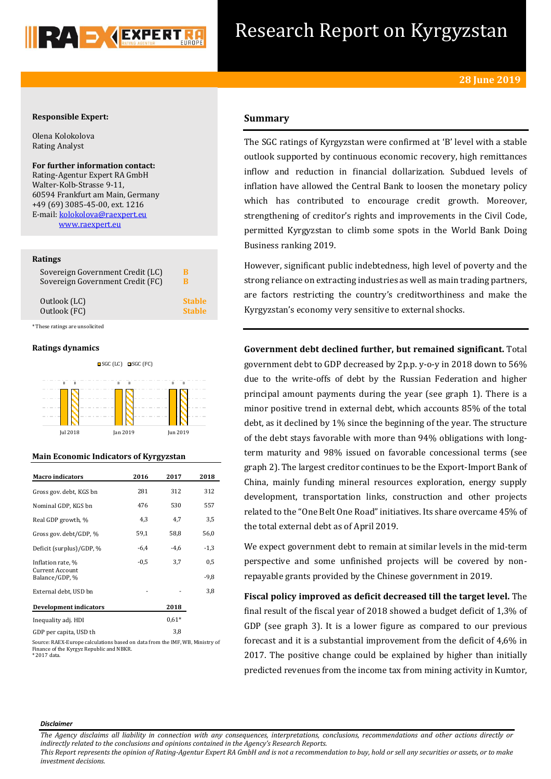

# Research Report on Kyrgyzstan

## **Responsible Expert:**

Olena Kolokolova Rating Analyst

**For further information contact:** Rating-Agentur Expert RA GmbH Walter-Kolb-Strasse 9-11, 60594 Frankfurt am Main, Germany +49 (69) 3085-45-00, ext. 1216 E-mail[: kolokolova@raexpert.eu](mailto:kolokolova@raexpert.eu) [www.raexpert.eu](http://raexpert.eu/)

## **Ratings**

| Sovereign Government Credit (LC) | В             |
|----------------------------------|---------------|
| Sovereign Government Credit (FC) | в             |
| Outlook (LC)                     | <b>Stable</b> |
| Outlook (FC)                     | <b>Stable</b> |

\* These ratings are unsolicited

## **Ratings dynamics**





## **Main Economic Indicators of Kyrgyzstan**

| <b>Macro indicators</b>                                       | 2016   | 2017       | 2018        |
|---------------------------------------------------------------|--------|------------|-------------|
| Gross gov. debt. KGS bn                                       | 281    | 312        | 312         |
| Nominal GDP, KGS bn                                           | 476    | 530        | 557         |
| Real GDP growth, %                                            | 4,3    | 4,7        | 3,5         |
| Gross gov. debt/GDP, %                                        | 59,1   | 58,8       | 56,0        |
| Deficit (surplus)/GDP, %                                      | $-6,4$ | $-4.6$     | $-1,3$      |
| Inflation rate, %<br><b>Current Account</b><br>Balance/GDP, % | $-0.5$ | 3,7        | 0,5<br>-9,8 |
| External debt, USD bn                                         |        |            | 3,8         |
| Development indicators                                        |        | 2018       |             |
| Inequality adj. HDI                                           |        | $0.61*$    |             |
| $\alpha$ $\beta$<br>$\cdots$ $\cdots$                         |        | <u> വെ</u> |             |

GDP per capita, USD th 3,8

Source: RAEX-Europe calculations based on data from the IMF, WB, Ministry of Finance of the Kyrgyz Republic and NBKR. \* 2017 data.

## **Summary**

The SGC ratings of Kyrgyzstan were confirmed at 'B' level with a stable outlook supported by continuous economic recovery, high remittances inflow and reduction in financial dollarization. Subdued levels of inflation have allowed the Central Bank to loosen the monetary policy which has contributed to encourage credit growth. Moreover, strengthening of creditor's rights and improvements in the Civil Code, permitted Kyrgyzstan to climb some spots in the World Bank Doing Business ranking 2019.

However, significant public indebtedness, high level of poverty and the strong reliance on extracting industries as well as main trading partners, are factors restricting the country's creditworthiness and make the Kyrgyzstan's economy very sensitive to external shocks.

**Government debt declined further, but remained significant.** Total government debt to GDP decreased by 2p.p. y-o-y in 2018 down to 56% due to the write-offs of debt by the Russian Federation and higher principal amount payments during the year (see graph 1). There is a minor positive trend in external debt, which accounts 85% of the total debt, as it declined by 1% since the beginning of the year. The structure of the debt stays favorable with more than 94% obligations with longterm maturity and 98% issued on favorable concessional terms (see graph 2). The largest creditor continues to be the Export-Import Bank of China, mainly funding mineral resources exploration, energy supply development, transportation links, construction and other projects related to the "One Belt One Road" initiatives. Its share overcame 45% of the total external debt as of April 2019.

We expect government debt to remain at similar levels in the mid-term perspective and some unfinished projects will be covered by nonrepayable grants provided by the Chinese government in 2019.

**Fiscal policy improved as deficit decreased till the target level.** The final result of the fiscal year of 2018 showed a budget deficit of 1,3% of GDP (see graph 3). It is a lower figure as compared to our previous forecast and it is a substantial improvement from the deficit of 4,6% in 2017. The positive change could be explained by higher than initially predicted revenues from the income tax from mining activity in Kumtor,

#### *Disclaimer*

*This Report represents the opinion of Rating-Agentur Expert RA GmbH and is not a recommendation to buy, hold or sell any securities or assets, or to make investment decisions.*

*The Agency disclaims all liability in connection with any consequences, interpretations, conclusions, recommendations and other actions directly or indirectly related to the conclusions and opinions contained in the Agency's Research Reports.*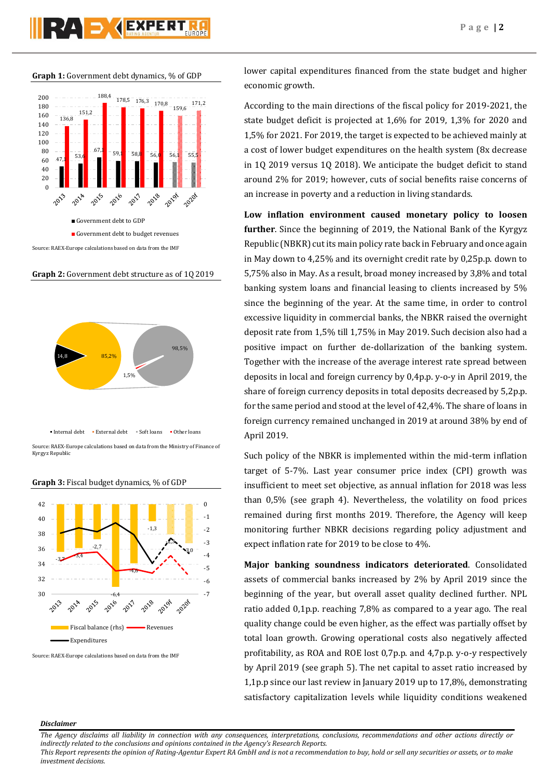**Graph 1:** Government debt dynamics, % of GDP



**Graph 2:** Government debt structure as of 1Q 2019



Source: RAEX-Europe calculations based on data from the Ministry of Finance of Kyrgyz Republic



#### **Graph 3:** Fiscal budget dynamics, % of GDP

Source: RAEX-Europe calculations based on data from the IMF

lower capital expenditures financed from the state budget and higher economic growth.

According to the main directions of the fiscal policy for 2019-2021, the state budget deficit is projected at 1,6% for 2019, 1,3% for 2020 and 1,5% for 2021. For 2019, the target is expected to be achieved mainly at a cost of lower budget expenditures on the health system (8x decrease in 1Q 2019 versus 1Q 2018). We anticipate the budget deficit to stand around 2% for 2019; however, cuts of social benefits raise concerns of an increase in poverty and a reduction in living standards.

**Low inflation environment caused monetary policy to loosen further**. Since the beginning of 2019, the National Bank of the Kyrgyz Republic (NBKR) cut its main policy rate back in February and once again in May down to 4,25% and its overnight credit rate by 0,25p.p. down to 5,75% also in May. As a result, broad money increased by 3,8% and total banking system loans and financial leasing to clients increased by 5% since the beginning of the year. At the same time, in order to control excessive liquidity in commercial banks, the NBKR raised the overnight deposit rate from 1,5% till 1,75% in May 2019. Such decision also had a positive impact on further de-dollarization of the banking system. Together with the increase of the average interest rate spread between deposits in local and foreign currency by 0,4p.p. y-o-y in April 2019, the share of foreign currency deposits in total deposits decreased by 5,2p.p. for the same period and stood at the level of 42,4%. The share of loans in foreign currency remained unchanged in 2019 at around 38% by end of April 2019.

Such policy of the NBKR is implemented within the mid-term inflation target of 5-7%. Last year consumer price index (CPI) growth was insufficient to meet set objective, as annual inflation for 2018 was less than 0,5% (see graph 4). Nevertheless, the volatility on food prices remained during first months 2019. Therefore, the Agency will keep monitoring further NBKR decisions regarding policy adjustment and expect inflation rate for 2019 to be close to 4%.

**Major banking soundness indicators deteriorated**. Consolidated assets of commercial banks increased by 2% by April 2019 since the beginning of the year, but overall asset quality declined further. NPL ratio added 0,1p.p. reaching 7,8% as compared to a year ago. The real quality change could be even higher, as the effect was partially offset by total loan growth. Growing operational costs also negatively affected profitability, as ROA and ROE lost 0,7p.p. and 4,7p.p. y-o-y respectively by April 2019 (see graph 5). The net capital to asset ratio increased by 1,1p.p since our last review in January 2019 up to 17,8%, demonstrating satisfactory capitalization levels while liquidity conditions weakened

## *Disclaimer*

*The Agency disclaims all liability in connection with any consequences, interpretations, conclusions, recommendations and other actions directly or indirectly related to the conclusions and opinions contained in the Agency's Research Reports.*

*This Report represents the opinion of Rating-Agentur Expert RA GmbH and is not a recommendation to buy, hold or sell any securities or assets, or to make investment decisions.*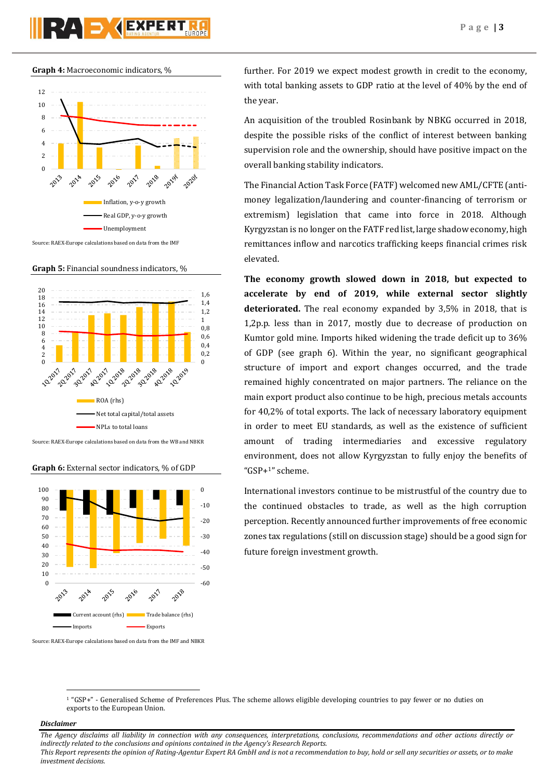



**Graph 5:** Financial soundness indicators, %



Source: RAEX-Europe calculations based on data from the WB and NBKR

## **Graph 6:** External sector indicators, % of GDP



Source: RAEX-Europe calculations based on data from the IMF and NBKR

further. For 2019 we expect modest growth in credit to the economy, with total banking assets to GDP ratio at the level of 40% by the end of the year.

An acquisition of the troubled Rosinbank by NBKG occurred in 2018, despite the possible risks of the conflict of interest between banking supervision role and the ownership, should have positive impact on the overall banking stability indicators.

The Financial Action Task Force (FATF) welcomed new AML/CFTE (antimoney legalization/laundering and counter-financing of terrorism or extremism) legislation that came into force in 2018. Although Kyrgyzstan is no longer on the FATF red list, large shadow economy, high remittances inflow and narcotics trafficking keeps financial crimes risk elevated.

**The economy growth slowed down in 2018, but expected to accelerate by end of 2019, while external sector slightly deteriorated.** The real economy expanded by 3,5% in 2018, that is 1,2p.p. less than in 2017, mostly due to decrease of production on Kumtor gold mine. Imports hiked widening the trade deficit up to 36% of GDP (see graph 6). Within the year, no significant geographical structure of import and export changes occurred, and the trade remained highly concentrated on major partners. The reliance on the main export product also continue to be high, precious metals accounts for 40,2% of total exports. The lack of necessary laboratory equipment in order to meet EU standards, as well as the existence of sufficient amount of trading intermediaries and excessive regulatory environment, does not allow Kyrgyzstan to fully enjoy the benefits of "GSP+1" scheme.

International investors continue to be mistrustful of the country due to the continued obstacles to trade, as well as the high corruption perception. Recently announced further improvements of free economic zones tax regulations (still on discussion stage) should be a good sign for future foreign investment growth.

## *Disclaimer*

 $\overline{a}$ 

*The Agency disclaims all liability in connection with any consequences, interpretations, conclusions, recommendations and other actions directly or indirectly related to the conclusions and opinions contained in the Agency's Research Reports. This Report represents the opinion of Rating-Agentur Expert RA GmbH and is not a recommendation to buy, hold or sell any securities or assets, or to make* 

*investment decisions.*

<sup>1</sup> "GSP+" - Generalised Scheme of Preferences Plus. The scheme allows eligible developing countries to pay fewer or no duties on exports to the European Union.